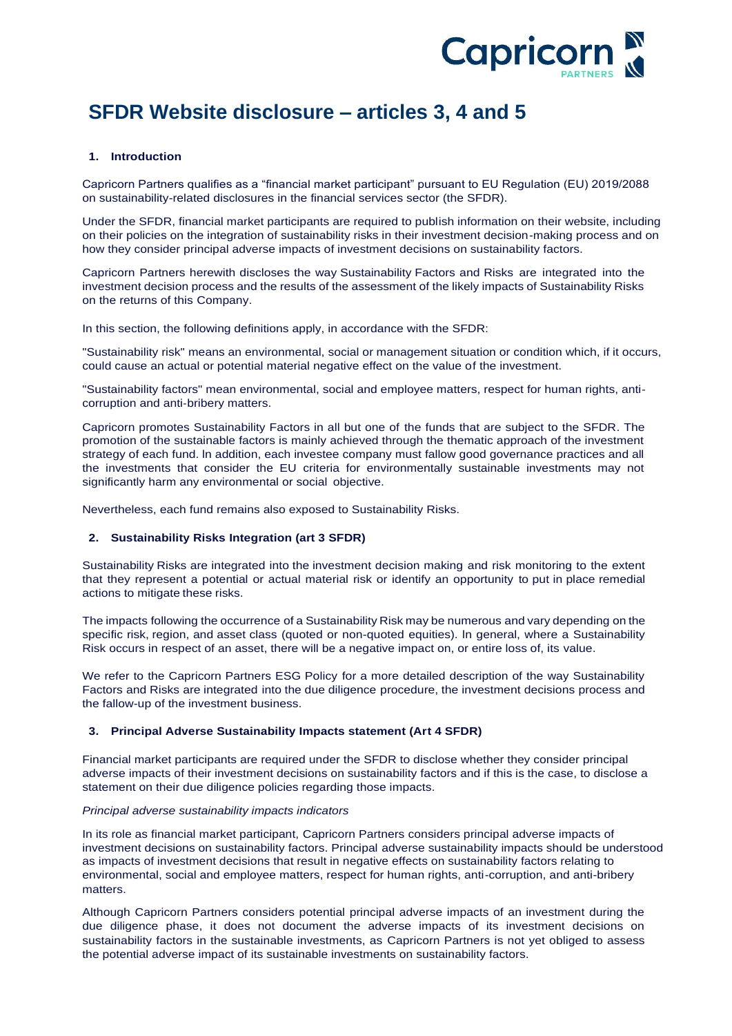

# **SFDR Website disclosure – articles 3, 4 and 5**

### **1. Introduction**

Capricorn Partners qualifies as a "financial market participant" pursuant to EU Regulation (EU) 2019/2088 on sustainability-related disclosures in the financial services sector (the SFDR).

Under the SFDR, financial market participants are required to publish information on their website, including on their policies on the integration of sustainability risks in their investment decision-making process and on how they consider principal adverse impacts of investment decisions on sustainability factors.

Capricorn Partners herewith discloses the way Sustainability Factors and Risks are integrated into the investment decision process and the results of the assessment of the likely impacts of Sustainability Risks on the returns of this Company.

In this section, the following definitions apply, in accordance with the SFDR:

"Sustainability risk" means an environmental, social or management situation or condition which, if it occurs, could cause an actual or potential material negative effect on the value of the investment.

"Sustainability factors" mean environmental, social and employee matters, respect for human rights, anti‐ corruption and anti‐bribery matters.

Capricorn promotes Sustainability Factors in all but one of the funds that are subject to the SFDR. The promotion of the sustainable factors is mainly achieved through the thematic approach of the investment strategy of each fund. ln addition, each investee company must fallow good governance practices and all the investments that consider the EU criteria for environmentally sustainable investments may not significantly harm any environmental or social objective.

Nevertheless, each fund remains also exposed to Sustainability Risks.

#### **2. Sustainability Risks Integration (art 3 SFDR)**

Sustainability Risks are integrated into the investment decision making and risk monitoring to the extent that they represent a potential or actual material risk or identify an opportunity to put in place remedial actions to mitigate these risks.

The impacts following the occurrence of a Sustainability Risk may be numerous and vary depending on the specific risk, region, and asset class (quoted or non-quoted equities). ln general, where a Sustainability Risk occurs in respect of an asset, there will be a negative impact on, or entire loss of, its value.

We refer to the Capricorn Partners ESG Policy for a more detailed description of the way Sustainability Factors and Risks are integrated into the due diligence procedure, the investment decisions process and the fallow-up of the investment business.

#### **3. Principal Adverse Sustainability Impacts statement (Art 4 SFDR)**

Financial market participants are required under the SFDR to disclose whether they consider principal adverse impacts of their investment decisions on sustainability factors and if this is the case, to disclose a statement on their due diligence policies regarding those impacts.

#### *Principal adverse sustainability impacts indicators*

In its role as financial market participant, Capricorn Partners considers principal adverse impacts of investment decisions on sustainability factors. Principal adverse sustainability impacts should be understood as impacts of investment decisions that result in negative effects on sustainability factors relating to environmental, social and employee matters, respect for human rights, anti-corruption, and anti-bribery matters.

Although Capricorn Partners considers potential principal adverse impacts of an investment during the due diligence phase, it does not document the adverse impacts of its investment decisions on sustainability factors in the sustainable investments, as Capricorn Partners is not yet obliged to assess the potential adverse impact of its sustainable investments on sustainability factors.